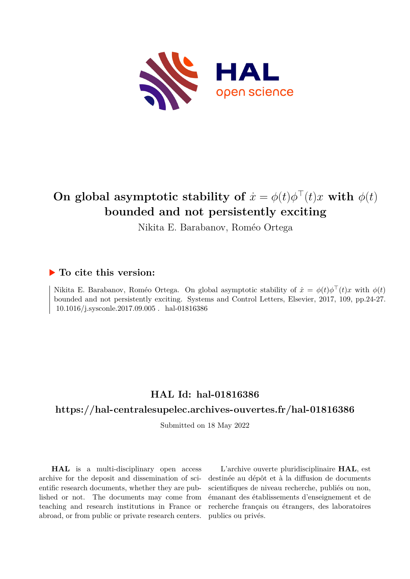

# **On global asymptotic stability of**  $\dot{x} = \phi(t)\phi'(t)x$  with  $\phi(t)$ **bounded and not persistently exciting**

Nikita E. Barabanov, Roméo Ortega

### **To cite this version:**

Nikita E. Barabanov, Roméo Ortega. On global asymptotic stability of  $\dot{x} = \phi(t)\phi^+(t)x$  with  $\phi(t)$ bounded and not persistently exciting. Systems and Control Letters, Elsevier, 2017, 109, pp.24-27.  $10.1016/j.\rm sysconle.2017.09.005$  .  $\,$  hal-01816386

# **HAL Id: hal-01816386**

### **<https://hal-centralesupelec.archives-ouvertes.fr/hal-01816386>**

Submitted on 18 May 2022

**HAL** is a multi-disciplinary open access archive for the deposit and dissemination of scientific research documents, whether they are published or not. The documents may come from teaching and research institutions in France or abroad, or from public or private research centers.

L'archive ouverte pluridisciplinaire **HAL**, est destinée au dépôt et à la diffusion de documents scientifiques de niveau recherche, publiés ou non, émanant des établissements d'enseignement et de recherche français ou étrangers, des laboratoires publics ou privés.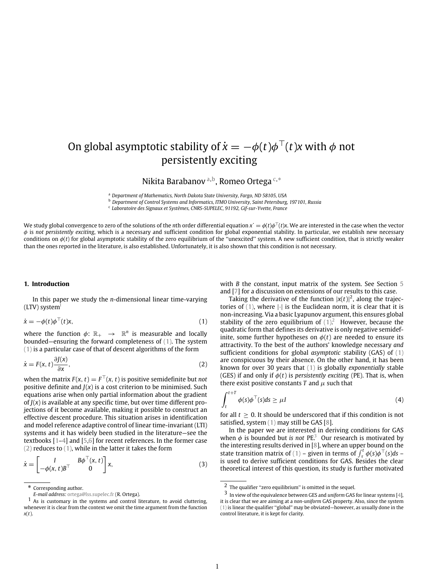# On global asymptotic stability of  $\dot{x} = -\phi(t)\phi^\top(t)x$  with  $\phi$  not persistently exciting

Nikita Barabanov a, b, Romeo Ortega c, \*

<sup>a</sup> *Department of Mathematics, North Dakota State University, Fargo, ND 58105, USA*

<sup>b</sup> *Department of Control Systems and Informatics, ITMO University, Saint Petersburg, 197101, Russia*

c *Laboratoire des Signaux et Systèmes, CNRS-SUPELEC, 91192, Gif-sur-Yvette, France*

We study global convergence to zero of the solutions of the *n*th order differential equation  $x' = \phi(t)\phi'(t)x$ . We are interested in the case when the vector  $\phi'(t)x$  is not a propositive to a series when the vector  $\phi'(t)x$ .  $\phi$  is *not persistently exciting*, which is a necessary and sufficient condition for global exponential stability. In particular, we establish new necessary conditions on φ(*t*) for global asymptotic stability of the zero equilibrium of the ''unexcited'' system. A new sufficient condition, that is strictly weaker than the ones reported in the literature, is also established. Unfortunately, it is also shown that this condition is not necessary.

#### **1. Introduction**

In this paper we study the *n*-dimensional linear time-varying (LTV) system<sup>1</sup>

$$
\dot{x} = -\phi(t)\phi^\top(t)x,\tag{1}
$$

where the function  $\phi: \mathbb{R}_+ \to \mathbb{R}^n$  is measurable and locally bounded—ensuring the forward completeness of (1). The system (1) is a particular case of that of descent algorithms of the form

$$
\dot{x} = F(x, t) \frac{\partial J(x)}{\partial x},\tag{2}
$$

when the matrix  $F(x, t) = F^{\perp}(x, t)$  is positive semidefinite but *not* positive definite and  $J(x)$  is a cost criterion to be minimised. Such equations arise when only partial information about the gradient of  $J(x)$  is available at any specific time, but over time different projections of it become available, making it possible to construct an effective descent procedure. This situation arises in identification and model reference adaptive control of linear time-invariant (LTI) systems and it has widely been studied in the literature—see the textbooks [1–4] and [5,6] for recent references. In the former case (2) reduces to (1), while in the latter it takes the form

$$
\dot{x} = \begin{bmatrix} I & B\phi^{\top}(x, t) \\ -\phi(x, t)B^{\top} & 0 \end{bmatrix} x, \tag{3}
$$

with *B* the constant, input matrix of the system. See Section 5 and [7] for a discussion on extensions of our results to this case.

Taking the derivative of the function  $|x(t)|^2$ , along the trajectories of  $(1)$ , where  $|\cdot|$  is the Euclidean norm, it is clear that it is non-increasing. Via a basic Lyapunov argument, this ensures global stability of the zero equilibrium of  $(1)^2$ . However, because the quadratic form that defines its derivative is only negative semidefinite, some further hypotheses on  $\phi(t)$  are needed to ensure its attractivity. To the best of the authors' knowledge necessary *and* sufficient conditions for global *asymptotic* stability (GAS) of (1) are conspicuous by their absence. On the other hand, it has been known for over 30 years that (1) is globally *exponentially* stable (GES) if and only if  $\phi(t)$  is *persistently exciting* (PE). That is, when there exist positive constants *T* and  $\mu$  such that

$$
\int_{t}^{t+T} \phi(s)\phi^{\top}(s)ds \ge \mu I
$$
 (4)

for all  $t > 0$ . It should be underscored that if this condition is not satisfied, system (1) may still be GAS [8].

In the paper we are interested in deriving conditions for GAS when  $\phi$  is bounded but *is not* PE<sup>3</sup> Our research is motivated by the interesting results derived in [8], where an upper bound on the state transition matrix of (1) – given in terms of  $\int_{\tau}^{t} \phi(s) \phi^{\top}(s) ds$  – is used to derive sufficient conditions for GAS. Besides the clear theoretical interest of this question, its study is further motivated

<sup>\*</sup> Corresponding author.

*E-mail address:* ortega@lss.supelec.fr (R. Ortega).

<sup>1</sup> As is customary in the systems and control literature, to avoid cluttering, whenever it is clear from the context we omit the time argument from the function *x*(*t*).

 $\sqrt{2}$  The qualifier "zero equilibrium" is omitted in the sequel.

<sup>3</sup> In view of the equivalence between GES and *uniform* GAS for linear systems [4], it is clear that we are aiming at a *non-uniform* GAS property. Also, since the system (1) is linear the qualifier ''global'' may be obviated—however, as usually done in the control literature, it is kept for clarity.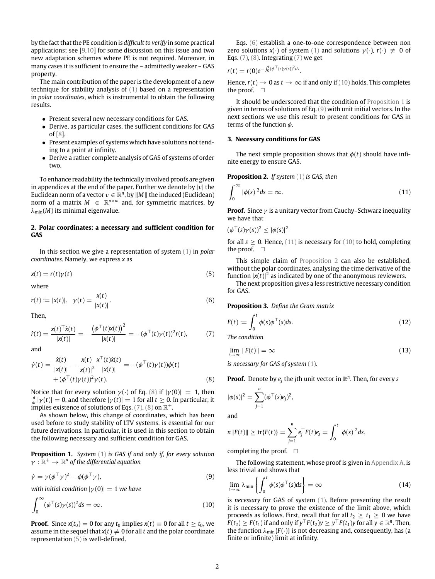by the fact that the PE condition is *difficult to verify* in some practical applications; see [9,10] for some discussion on this issue and two new adaptation schemes where PE is not required. Moreover, in many cases it is sufficient to ensure the – admittedly weaker – GAS property.

The main contribution of the paper is the development of a new technique for stability analysis of (1) based on a representation in *polar coordinates*, which is instrumental to obtain the following results.

- Present several new necessary conditions for GAS.
- Derive, as particular cases, the sufficient conditions for GAS of [8].
- Present examples of systems which have solutions not tending to a point at infinity.
- Derive a rather complete analysis of GAS of systems of order two.

To enhance readability the technically involved proofs are given in appendices at the end of the paper. Further we denote by  $|v|$  the Euclidean norm of a vector  $v \in \mathbb{R}^n$ , by  $||M||$  the induced (Euclidean) norm of a matrix  $M \in \mathbb{R}^{n \times m}$  and, for symmetric matrices, by  $\lambda_{\min}(M)$  its minimal eigenvalue.

#### **2. Polar coordinates: a necessary and sufficient condition for GAS**

In this section we give a representation of system (1) in *polar coordinates*. Namely, we express *x* as

$$
x(t) = r(t)\gamma(t) \tag{5}
$$

where

$$
r(t) := |x(t)|, \quad \gamma(t) = \frac{x(t)}{|x(t)|}.
$$
 (6)

Then,

$$
\dot{r}(t) = \frac{x(t)^{\top} \dot{x}(t)}{|x(t)|} = -\frac{\left(\phi^{\top}(t)x(t)\right)^2}{|x(t)|} = -(\phi^{\top}(t)\gamma(t))^2 r(t), \tag{7}
$$

and

$$
\dot{\gamma}(t) = \frac{\dot{x}(t)}{|x(t)|} - \frac{x(t)}{|x(t)|^2} \frac{x'(t)\dot{x}(t)}{|x(t)|} = -(\phi^\top(t)\gamma(t))\phi(t) \n+ (\phi^\top(t)\gamma(t))^2 \gamma(t).
$$
\n(8)

Notice that for every solution  $\gamma(\cdot)$  of Eq. (8) if  $|\gamma(0)| = 1$ , then  $\frac{d}{dt}|\gamma(t)| = 0$ , and therefore  $|\gamma(t)| = 1$  for all  $t \ge 0$ . In particular, it implies existence of solutions of Eqs. (7), (8) on  $\mathbb{R}^+$ .

As shown below, this change of coordinates, which has been used before to study stability of LTV systems, is essential for our future derivations. In particular, it is used in this section to obtain the following necessary and sufficient condition for GAS.

**Proposition 1.** *System* (1) *is GAS if and only if, for every solution*  $\gamma: \mathbb{R}^+ \rightarrow \mathbb{R}^n$  of the differential equation

$$
\dot{\gamma} = \gamma (\phi^{\top} \gamma)^2 - \phi (\phi^{\top} \gamma), \tag{9}
$$

*with initial condition*  $|\gamma(0)| = 1$  *we have* 

$$
\int_0^\infty (\phi^\top(s)\gamma(s))^2 ds = \infty.
$$
 (10)

**Proof.** Since  $x(t_0) = 0$  for any  $t_0$  implies  $x(t) \equiv 0$  for all  $t \ge t_0$ , we assume in the sequel that  $x(t) \neq 0$  for all *t* and the polar coordinate representation (5) is well-defined.

Eqs. (6) establish a one-to-one correspondence between non zero solutions  $x(\cdot)$  of system (1) and solutions  $\gamma(\cdot)$ ,  $r(\cdot) \neq 0$  of Eqs.  $(7)$ ,  $(8)$ . Integrating  $(7)$  we get

$$
r(t) = r(0)e^{-\int_0^t (\phi^{\top}(s)\gamma(s))^2 ds}.
$$

Hence,  $r(t) \rightarrow 0$  as  $t \rightarrow \infty$  if and only if (10) holds. This completes the proof. □

It should be underscored that the condition of Proposition 1 is given in terms of solutions of Eq. (9) with unit initial vectors. In the next sections we use this result to present conditions for GAS in terms of the function  $\phi$ .

#### **3. Necessary conditions for GAS**

The next simple proposition shows that  $\phi(t)$  should have infinite energy to ensure GAS.

**Proposition 2.** *If system* (1) *is GAS, then*

$$
\int_0^\infty |\phi(s)|^2 ds = \infty. \tag{11}
$$

**Proof.** Since  $\gamma$  is a unitary vector from Cauchy–Schwarz inequality we have that

$$
(\phi^{\top}(s)\gamma(s))^2 \leq |\phi(s)|^2
$$

for all  $s \geq 0$ . Hence, (11) is necessary for (10) to hold, completing the proof. □

This simple claim of Proposition 2 can also be established, without the polar coordinates, analysing the time derivative of the function  $|x(t)|^2$  as indicated by one of the anonymous reviewers.

The next proposition gives a less restrictive necessary condition for GAS.

**Proposition 3.** *Define the Gram matrix*

$$
F(t) := \int_0^t \phi(s)\phi^\top(s)ds.
$$
 (12)

*The condition*

$$
\lim_{t \to \infty} \|F(t)\| = \infty \tag{13}
$$

*is necessary for GAS of system* (1)*.*

**Proof.** Denote by  $e_j$  the *j*th unit vector in  $\mathbb{R}^n$ . Then, for every *s* 

$$
|\phi(s)|^2 = \sum_{j=1}^n (\phi^{\top}(s)e_j)^2
$$

and

$$
n||F(t)|| \ge \text{tr}\{F(t)\} = \sum_{j=1}^n e_j^\top F(t)e_j = \int_0^t |\phi(s)|^2 ds,
$$

,

completing the proof.  $\square$ 

The following statement, whose proof is given in Appendix A, is less trivial and shows that

$$
\lim_{t \to \infty} \lambda_{\min} \left\{ \int_0^t \phi(s) \phi^\top(s) ds \right\} = \infty \tag{14}
$$

is *necessary* for GAS of system (1). Before presenting the result it is necessary to prove the existence of the limit above, which proceeds as follows. First, recall that for all  $t_2 > t_1 > 0$  we have *F*(*t*<sub>2</sub>) ≥ *F*(*t*<sub>1</sub>) if and only if  $y<sup>⊤</sup>F(t<sub>2</sub>)y ≥ y<sup>⊤</sup>F(t<sub>1</sub>)y$  for all  $y ∈ \mathbb{R}^n$ . Then, the function  $\lambda_{\min}$ {*F*(·)} is not decreasing and, consequently, has (a finite or infinite) limit at infinity.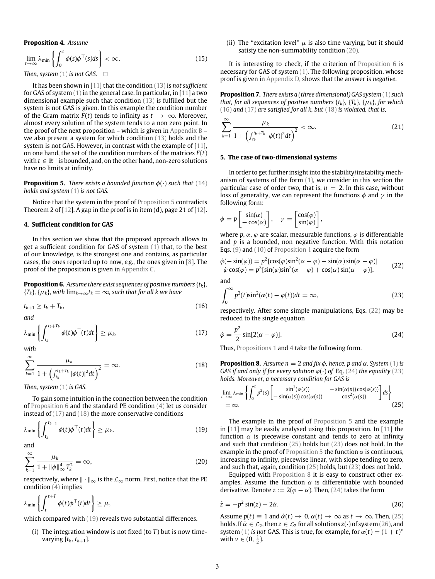#### **Proposition 4.** *Assume*

$$
\lim_{t \to \infty} \lambda_{\min} \left\{ \int_0^t \phi(s) \phi^\top(s) ds \right\} < \infty. \tag{15}
$$

*Then, system*  $(1)$  *is not GAS.*  $\Box$ 

It has been shown in [11] that the condition (13) is *not sufficient* for GAS of system  $(1)$  in the general case. In particular, in [11] a two dimensional example such that condition (13) is fulfilled but the system is not GAS is given. In this example the condition number of the Gram matrix  $F(t)$  tends to infinity as  $t \to \infty$ . Moreover, almost every solution of the system tends to a non zero point. In the proof of the next proposition – which is given in Appendix  $B$  – we also present a system for which condition (13) holds and the system is not GAS. However, in contrast with the example of [11], on one hand, the set of the condition numbers of the matrices  $F(t)$ with  $t \in \mathbb{R}^+$  is bounded, and, on the other hand, non-zero solutions have no limits at infinity.

**Proposition 5.** *There exists a bounded function*  $\phi(\cdot)$  *such that* (14) *holds and system* (1) *is not GAS.*

Notice that the system in the proof of Proposition 5 contradicts Theorem 2 of  $[12]$ . A gap in the proof is in item (d), page 21 of  $[12]$ .

#### **4. Sufficient condition for GAS**

In this section we show that the proposed approach allows to get a sufficient condition for GAS of system (1) that, to the best of our knowledge, is the strongest one and contains, as particular cases, the ones reported up to now, *e.g.*, the ones given in [8]. The proof of the proposition is given in Appendix C.

**Proposition 6.** *Assume there exist sequences of positive numbers* {*tk*}*,*  ${T_k}$ *,*  ${\mu_k}$ *, with*  $\lim_{k\to\infty} t_k = \infty$ *, such that for all k we have* 

$$
t_{k+1} \ge t_k + T_k, \tag{16}
$$

*and*

$$
\lambda_{\min} \left\{ \int_{t_k}^{t_k + T_k} \phi(t) \phi^\top(t) dt \right\} \ge \mu_k,
$$
\n(17)

*with*

$$
\sum_{k=1}^{\infty} \frac{\mu_k}{1 + \left(\int_{t_k}^{t_k + T_k} |\phi(t)|^2 dt\right)^2} = \infty.
$$
 (18)

*Then, system* (1) *is GAS.*

To gain some intuition in the connection between the condition of Proposition 6 and the standard PE condition (4) let us consider instead of (17) and (18) the more conservative conditions

$$
\lambda_{\min} \left\{ \int_{t_k}^{t_{k+1}} \phi(t) \phi^\top(t) dt \right\} \ge \mu_k,
$$
\n(19)

and

$$
\sum_{k=1}^{\infty} \frac{\mu_k}{1 + \|\phi\|_{\infty}^4 T_k^2} = \infty,
$$
\n(20)

respectively, where  $\|\cdot\|_{\infty}$  is the  $\mathcal{L}_{\infty}$  norm. First, notice that the PE condition (4) implies

$$
\lambda_{\min} \left\{ \int_{t}^{t+T} \phi(t) \phi^{\top}(t) dt \right\} \geq \mu,
$$

which compared with (19) reveals two substantial differences.

(i) The integration window is not fixed (to  $T$ ) but is now timevarying  $[t_k, t_{k+1}]$ .

(ii) The "excitation level"  $\mu$  is also time varying, but it should satisfy the non-summability condition (20).

It is interesting to check, if the criterion of Proposition 6 is necessary for GAS of system (1). The following proposition, whose proof is given in Appendix D, shows that the answer is *negative*.

**Proposition 7.** *There exists a (three dimensional) GAS system* (1) *such that, for all sequences of positive numbers*  $\{t_k\}$ *,*  $\{T_k\}$ *,*  $\{\mu_k\}$ *, for which* (16) *and* (17) *are satisfied for all k, but* (18) *is violated, that is,*

$$
\sum_{k=1}^{\infty} \frac{\mu_k}{1 + \left(\int_{t_k}^{t_k + T_k} |\phi(t)|^2 dt\right)^2} < \infty. \tag{21}
$$

#### **5. The case of two-dimensional systems**

In order to get further insight into the stability/instability mechanism of systems of the form (1), we consider in this section the particular case of order two, that is,  $n = 2$ . In this case, without loss of generality, we can represent the functions  $\phi$  and  $\gamma$  in the following form:

$$
\phi = p \begin{bmatrix} \sin(\alpha) \\ -\cos(\alpha) \end{bmatrix}, \quad \gamma = \begin{bmatrix} \cos(\varphi) \\ \sin(\varphi) \end{bmatrix},
$$

where  $p, \alpha, \varphi$  are scalar, measurable functions,  $\varphi$  is differentiable and *p* is a bounded, non negative function. With this notation Eqs. (9) and (10) of Proposition 1 acquire the form

$$
\dot{\varphi}(-\sin(\varphi)) = p^2[\cos(\varphi)\sin^2(\alpha - \varphi) - \sin(\alpha)\sin(\alpha - \varphi)] \n\dot{\varphi}\cos(\varphi) = p^2[\sin(\varphi)\sin^2(\alpha - \varphi) + \cos(\alpha)\sin(\alpha - \varphi)],
$$
\n(22)

and

$$
\int_0^\infty p^2(t)\sin^2(\alpha(t) - \varphi(t))dt = \infty,
$$
\n(23)

respectively. After some simple manipulations, Eqs. (22) may be reduced to the single equation

$$
\dot{\varphi} = \frac{p^2}{2}\sin[2(\alpha - \varphi)].\tag{24}
$$

Thus, Propositions 1 and 4 take the following form.

**Proposition 8.** *Assume n* = 2 *and fix*  $\phi$ *, hence, p and*  $\alpha$ *. System* (1) *is GAS if and only if for every solution*  $\varphi(\cdot)$  *of* Eq. (24) *the equality* (23) *holds. Moreover, a necessary condition for GAS is*

$$
\lim_{t \to \infty} \lambda_{\min} \left\{ \int_0^t p^2(s) \begin{bmatrix} \sin^2(\alpha(s)) & -\sin(\alpha(s))\cos(\alpha(s)) \\ -\sin(\alpha(s))\cos(\alpha(s)) & \cos^2(\alpha(s)) \end{bmatrix} ds \right\} \tag{25}
$$

The example in the proof of Proposition 5 and the example in [11] may be easily analysed using this proposition. In [11] the function  $\alpha$  is piecewise constant and tends to zero at infinity and such that condition (25) holds but (23) does not hold. In the example in the proof of Proposition 5 the function  $\alpha$  is continuous, increasing to infinity, piecewise linear, with slope tending to zero, and such that, again, condition (25) holds, but (23) does not hold.

Equipped with Proposition 8 it is easy to construct other examples. Assume the function  $\alpha$  is differentiable with bounded derivative. Denote  $z := 2(\varphi - \alpha)$ . Then, (24) takes the form

$$
\dot{z} = -p^2 \sin(z) - 2\dot{\alpha}.\tag{26}
$$

Assume  $p(t) \equiv 1$  and  $\dot{\alpha}(t) \to 0$ ,  $\alpha(t) \to \infty$  as  $t \to \infty$ . Then, (25) holds. If  $\dot{\alpha} \in \mathcal{L}_2$ , then  $z \in \mathcal{L}_2$  for all solutions  $z(\cdot)$  of system (26), and system (1) *is not* GAS. This is true, for example, for  $\alpha(t) = (1 + t)^v$ with  $\nu \in (0, \frac{1}{2})$ .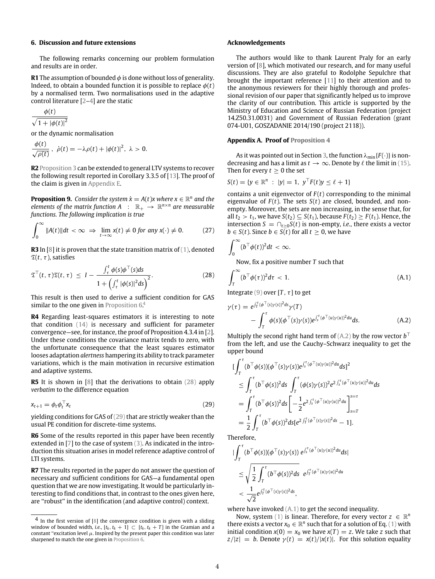#### **6. Discussion and future extensions**

The following remarks concerning our problem formulation and results are in order.

**R1** The assumption of bounded  $\phi$  is done without loss of generality. Indeed, to obtain a bounded function it is possible to replace  $\phi(t)$ by a normalised term. Two normalisations used in the adaptive control literature [2–4] are the static

$$
\frac{\phi(t)}{\sqrt{1+|\phi(t)|^2}}
$$

or the dynamic normalisation

$$
\frac{\phi(t)}{\sqrt{\rho(t)}}, \dot{\rho}(t) = -\lambda \rho(t) + |\phi(t)|^2, \lambda > 0.
$$

**R2** Proposition 3 can be extended to general LTV systems to recover the following result reported in Corollary 3.3.5 of [13]. The proof of the claim is given in Appendix E.

**Proposition 9.** *Consider the system*  $\dot{x} = A(t)x$  where  $x \in \mathbb{R}^n$  and the *elements of the matrix function*  $A : \mathbb{R}_+ \to \mathbb{R}^{n \times n}$  *are measurable functions. The following implication is true*

$$
\int_0^\infty \|A(t)\|dt < \infty \implies \lim_{t \to \infty} x(t) \neq 0 \text{ for any } x(\cdot) \neq 0. \tag{27}
$$

**R3** In [8] it is proven that the state transition matrix of (1), denoted  $\mathfrak{T}(t, \tau)$ , satisfies

$$
\mathfrak{T}^{\top}(t,\tau)\mathfrak{T}(t,\tau) \leq I - \frac{\int_{\tau}^{t} \phi(s)\phi^{\top}(s)ds}{1 + \left(\int_{\tau}^{t} |\phi(s)|^{2}ds\right)^{2}}.
$$
\n(28)

This result is then used to derive a sufficient condition for GAS similar to the one given in Proposition  $6<sup>4</sup>$ 

**R4** Regarding least-squares estimators it is interesting to note that condition (14) is necessary and sufficient for parameter convergence—see, for instance, the proof of Proposition 4.3.4 in [2]. Under these conditions the covariance matrix tends to zero, with the unfortunate consequence that the least squares estimator looses adaptation *alertness* hampering its ability to track parameter variations, which is the main motivation in recursive estimation and adaptive systems.

**R5** It is shown in [8] that the derivations to obtain (28) apply *verbatim* to the difference equation

$$
x_{t+1} = \phi_t \phi_t^\top x_t \tag{29}
$$

yielding conditions for GAS of (29) that are strictly weaker than the usual PE condition for discrete-time systems.

**R6** Some of the results reported in this paper have been recently extended in [7] to the case of system (3). As indicated in the introduction this situation arises in model reference adaptive control of LTI systems.

**R7** The results reported in the paper do not answer the question of necessary *and* sufficient conditions for GAS—a fundamental open question that we are now investigating. It would be particularly interesting to find conditions that, in contrast to the ones given here, are ''robust'' in the identification (and adaptive control) context.

#### **Acknowledgements**

The authors would like to thank Laurent Praly for an early version of [8], which motivated our research, and for many useful discussions. They are also grateful to Rodolphe Sepulchre that brought the important reference [11] to their attention and to the anonymous reviewers for their highly thorough and professional revision of our paper that significantly helped us to improve the clarity of our contribution. This article is supported by the Ministry of Education and Science of Russian Federation (project 14.Z50.31.0031) and Government of Russian Federation (grant 074-U01, GOSZADANIE 2014/190 (project 2118)).

#### **Appendix A. Proof of Proposition 4**

As it was pointed out in Section 3, the function  $\lambda_{\min}$  {*F*( $\cdot$ )} is nondecreasing and has a limit as  $t \to \infty$ . Denote by  $\ell$  the limit in (15). Then for every  $t \geq 0$  the set

$$
S(t) = \{ y \in \mathbb{R}^n : |y| = 1, y^{\top} F(t) y \le \ell + 1 \}
$$

contains a unit eigenvector of  $F(t)$  corresponding to the minimal eigenvalue of  $F(t)$ . The sets  $S(t)$  are closed, bounded, and nonempty. Moreover, the sets are non increasing, in the sense that, for all  $t_2 > t_1$ , we have  $S(t_2) \subseteq S(t_1)$ , because  $F(t_2) \geq F(t_1)$ . Hence, the intersection *S* =  $\bigcap_{t>0} S(t)$  is non-empty, *i.e.*, there exists a vector *b* ∈ *S*(*t*). Since *b* ∈ *S*(*t*) for all *t*  $≥$  0, we have

$$
\int_0^\infty (b^\top \phi(t))^2 dt < \infty.
$$

Now, fix a positive number *T* such that

$$
\int_{T}^{\infty} (b^{\top} \phi(\tau))^2 d\tau < 1.
$$
 (A.1)

Integrate (9) over  $[T, \tau]$  to get

$$
\gamma(\tau) = e^{\int_T^{\tau} (\phi^{\top}(s)\gamma(s))^2 ds} \gamma(T)
$$
  
 
$$
- \int_T^{\tau} \phi(s)(\phi^{\top}(s)\gamma(s))e^{\int_s^{\tau} (\phi^{\top}(u)\gamma(u))^2 du} ds.
$$
 (A.2)

Multiply the second right hand term of (A.2) by the row vector *b* ⊤ from the left, and use the Cauchy–Schwarz inequality to get the upper bound

$$
\begin{split} &\left[\int_{T}^{\tau} (b^{\top} \phi(s))(\phi^{\top}(s)\gamma(s))e^{\int_{s}^{\tau} (\phi^{\top}(u)\gamma(u))^{2}du} ds\right]^{2} \\ &\leq \int_{T}^{\tau} (b^{\top} \phi(s))^{2} ds \int_{T}^{\tau} (\phi(s)\gamma(s))^{2} e^{2\int_{s}^{\tau} (\phi^{\top}(u)\gamma(u))^{2}du} ds \\ &=\int_{T}^{\tau} (b^{\top} \phi(s))^{2} ds \left[ -\frac{1}{2} e^{2\int_{s}^{\tau} (\phi^{\top}(u)\gamma(u))^{2}du} \right]_{s=T}^{s=\tau} \\ &=\frac{1}{2} \int_{T}^{\tau} (b^{\top} \phi(s))^{2} ds [e^{2\int_{T}^{\tau} (\phi^{\top}(s)\gamma(s))^{2}ds} - 1]. \end{split}
$$

Therefore,

$$
\begin{aligned} & \|\int_{T}^{\tau}(b^{\top}\phi(s))(\phi^{\top}(s)\gamma(s))\ e^{\int_{s}^{\tau}(\phi^{\top}(u)\gamma(u))^{2}du}ds| \\ &\leq \sqrt{\frac{1}{2}\int_{T}^{\tau}(b^{\top}\phi(s))^{2}ds}\ e^{\int_{T}^{\tau}(\phi^{\top}(u)\gamma(u))^{2}du} \\ &<\frac{1}{\sqrt{2}}e^{\int_{T}^{\tau}(\phi^{\top}(s)\gamma(s))^{2}ds}, \end{aligned}
$$

where have invoked  $(A, 1)$  to get the second inequality.

Now, system (1) is linear. Therefore, for every vector  $z \in \mathbb{R}^n$ there exists a vector  $x_0 \in \mathbb{R}^n$  such that for a solution of Eq. (1) with initial condition  $x(0) = x_0$  we have  $x(T) = z$ . We take *z* such that  $z/|z| = b$ . Denote  $\gamma(t) = x(t)/|x(t)|$ . For this solution equality

<sup>4</sup> In the first version of [8] the convergence condition is given with a sliding window of bounded width, *i.e.*,  $[t_k, t_k + 1] \subset [t_k, t_k + T]$  in the Gramian and a constant "excitation level  $\mu$ . Inspired by the present paper this condition was later sharpened to match the one given in Proposition 6.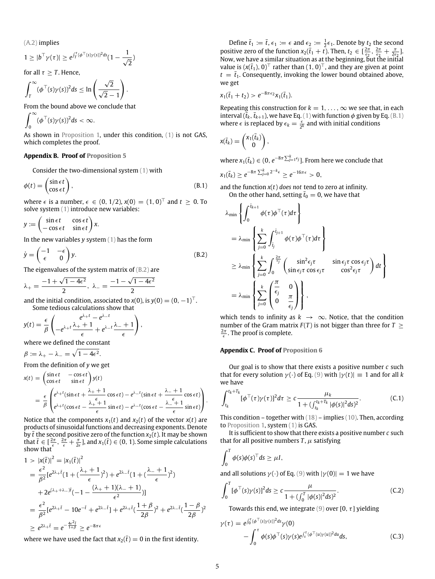(A.2) implies

$$
1\geq |b^\top \gamma(\tau)|\geq e^{\int_T^\tau(\phi^\top(s)\gamma(s))^2ds}(1-\frac{1}{\sqrt{2}})
$$

for all  $\tau > T$ . Hence,

$$
\int_T^{\infty} (\phi^{\top}(s)\gamma(s))^2 ds \leq \ln\left(\frac{\sqrt{2}}{\sqrt{2}-1}\right).
$$

From the bound above we conclude that

$$
\int_0^\infty (\phi^\top(s)\gamma(s))^2 ds < \infty.
$$

As shown in Proposition 1, under this condition, (1) is not GAS, which completes the proof.

#### **Appendix B. Proof of Proposition 5**

Consider the two-dimensional system (1) with

$$
\phi(t) = \begin{pmatrix} \sin \epsilon t \\ \cos \epsilon t \end{pmatrix},\tag{B.1}
$$

where  $\epsilon$  is a number,  $\epsilon \in (0, 1/2)$ ,  $x(0) = (1, 0)^\top$  and  $t \ge 0$ . To solve system (1) introduce new variables:

 $y := \begin{cases} \sin \epsilon t & \cos \epsilon t \\ -\cos \epsilon t & \sin \epsilon t \end{cases}$  $-\cos \epsilon t$  sin $\epsilon t$ ) *x*.

In the new variables *y* system (1) has the form

$$
\dot{y} = \begin{pmatrix} -1 & -\epsilon \\ \epsilon & 0 \end{pmatrix} y. \tag{B.2}
$$

The eigenvalues of the system matrix of (B.2) are

$$
\lambda_+=\frac{-1+\sqrt{1-4\varepsilon^2}}{2},\,\,\lambda_-=\frac{-1-\sqrt{1-4\varepsilon^2}}{2}
$$

and the initial condition, associated to *x*(0), is  $y(0) = (0, -1)^T$ . Some tedious calculations show that

$$
y(t) = \frac{\epsilon}{\beta} \left( \frac{e^{\lambda + t} - e^{\lambda - t}}{\epsilon} + e^{\lambda - t} \frac{\lambda - t}{\epsilon} \right),
$$

where we defined the constant

$$
\beta := \lambda_+ - \lambda_- = \sqrt{1 - 4\epsilon^2}.
$$

From the definition of *y* we get

$$
x(t) = \begin{pmatrix} \sin \epsilon t & -\cos \epsilon t \\ \cos \epsilon t & \sin \epsilon t \end{pmatrix} y(t)
$$
  
= 
$$
\frac{\epsilon}{\beta} \begin{pmatrix} e^{\lambda + t} (\sin \epsilon t + \frac{\lambda_{+} + 1}{\epsilon} \cos \epsilon t) - e^{\lambda - t} (\sin \epsilon t + \frac{\lambda_{-} + 1}{\epsilon} \cos \epsilon t) \\ e^{\lambda + t} (\cos \epsilon t - \frac{\lambda_{+} + 1}{\epsilon} \sin \epsilon t) - e^{\lambda - t} (\cos \epsilon t - \frac{\lambda_{-} + 1}{\epsilon} \sin \epsilon t) \end{pmatrix}.
$$

Notice that the components  $x_1(t)$  and  $x_2(t)$  of the vector  $x(t)$  are products of sinusoidal functions and decreasing exponents. Denote by  $\bar{t}$  the second positive zero of the function  $x_2(t)$ . It may be shown that  $\bar{t} \in [\frac{2\pi}{\epsilon}, \frac{2\pi}{\epsilon} + \frac{\pi}{2\epsilon}]$ , and  $x_1(\bar{t}) \in (0, 1)$ . Some simple calculations show that

$$
1 > |x(\bar{t})|^2 = |x_1(\bar{t})|^2
$$
  
=  $\frac{\epsilon^2}{\beta^2} [e^{2\lambda + \bar{t}} (1 + (\frac{\lambda_+ + 1}{\epsilon})^2) + e^{2\lambda - \bar{t}} (1 + (\frac{\lambda_- + 1}{\epsilon})^2)$   
+  $2e^{(\lambda_+ + \lambda_-)\bar{t}} (-1 - \frac{(\lambda_+ + 1)(\lambda_- + 1)}{\epsilon^2})]$   
=  $\frac{\epsilon^2}{\beta^2} [e^{2\lambda_+ \bar{t}} - 10e^{-\bar{t}} + e^{2\lambda_- \bar{t}}] + e^{2\lambda_+ \bar{t}} (\frac{1 + \beta}{2\beta})^2 + e^{2\lambda_- \bar{t}} (\frac{1 - \beta}{2\beta})^2$   
 $\ge e^{2\lambda_+ \bar{t}} = e^{-\frac{4\epsilon^2 \bar{t}}{1 + \beta}} \ge e^{-8\pi \epsilon}$ 

where we have used the fact that  $x_2(\bar{t}) = 0$  in the first identity.

Define  $\bar{t}_1 := \bar{t}$ ,  $\epsilon_1 := \epsilon$  and  $\epsilon_2 := \frac{1}{2} \epsilon_1$ . Denote by  $t_2$  the second positive zero of the function  $x_2(\bar{t}_1 + t)$ . Then,  $t_2 \in \left[\frac{2\pi}{\epsilon_2}, \frac{2\pi}{\epsilon_2} + \frac{\pi}{2\epsilon_2}\right]$ . Now, we have a similar situation as at the beginning, but the initial value is  $(x(t_1), 0)^\top$  rather than  $(1, 0)^\top$ , and they are given at point  $t = t_1$ . Consequently, invoking the lower bound obtained above, we get

$$
x_1(\bar{t}_1+t_2) > e^{-8\pi\epsilon_2}x_1(\bar{t}_1).
$$

Repeating this construction for  $k = 1, \ldots, \infty$  we see that, in each interval  $(\bar{t}_k, \bar{t}_{k+1})$ , we have Eq. (1) with function  $\phi$  given by Eq. (B.1) where  $\epsilon$  is replaced by  $\epsilon_k = \frac{\epsilon}{2^k}$  and with initial conditions

$$
x(\overline{t}_k) = \begin{pmatrix} x_1(\overline{t}_k) \\ 0 \end{pmatrix},
$$

where  $x_1(\bar{t}_k) \in (0, e^{-8\pi \sum_{j=1}^k \epsilon_j}].$  From here we conclude that

$$
x_1(\bar{t}_k) \geq e^{-8\pi \sum_{j=0}^k 2^{-k} \epsilon} \geq e^{-16\pi \epsilon} > 0,
$$

and the function *x*(*t*) *does not* tend to zero at infinity.

On the other hand, setting  $t_0 = 0$ , we have that

$$
\lambda_{\min} \left\{ \int_0^{\tilde{t}_{k+1}} \phi(\tau) \phi^{\top}(\tau) d\tau \right\} \n= \lambda_{\min} \left\{ \sum_{j=0}^k \int_{\tilde{t}_j}^{\tilde{t}_{j+1}} \phi(\tau) \phi^{\top}(\tau) d\tau \right\} \n\geq \lambda_{\min} \left\{ \sum_{j=0}^k \int_0^{\frac{2\pi}{\epsilon_j}} \left( \frac{\sin^2 \epsilon_j \tau}{\sin \epsilon_j \tau \cos \epsilon_j \tau} - \frac{\sin \epsilon_j \tau \cos \epsilon_j \tau}{\cos^2 \epsilon_j \tau} \right) dt \right\} \n= \lambda_{\min} \left\{ \sum_{j=0}^k \left( \frac{\pi}{\epsilon_j} - 0 \right) \right\},
$$

which tends to infinity as  $k \to \infty$ . Notice, that the condition number of the Gram matrix  $F(T)$  is not bigger than three for  $T >$  $\frac{2\pi}{\epsilon}$ . The proof is complete.

#### **Appendix C. Proof of Proposition 6**

Our goal is to show that there exists a positive number *c* such that for every solution  $\gamma(\cdot)$  of Eq. (9) with  $|\gamma(t)| \equiv 1$  and for all k we have

$$
\int_{t_k}^{t_k+T_k} [\phi^\top(\tau)\gamma(\tau)]^2 d\tau \geq c \frac{\mu_k}{1 + (\int_{t_k}^{t_k+T_k} |\phi(s)|^2 ds)^2}.
$$
 (C.1)

This condition – together with (18) – implies (10). Then, according to Proposition 1, system (1) is GAS.

It is sufficient to show that there exists a positive number *c* such that for all positive numbers  $T$ ,  $\mu$  satisfying

$$
\int_0^T \phi(s)\phi(s)^{\top}ds \geq \mu I,
$$

and all solutions  $\gamma(\cdot)$  of Eq. (9) with  $|\gamma(0)| = 1$  we have

$$
\int_0^T [\phi^\top(s)\gamma(s)]^2 ds \ge c \frac{\mu}{1 + (\int_0^T |\phi(s)|^2 ds)^2}.
$$
 (C.2)

Towards this end, we integrate (9) over [0,  $\tau$ ] yielding

$$
\gamma(\tau) = e^{\int_0^{\tau} (\phi^{\top}(s)\gamma(s))^2 ds} \gamma(0)
$$
  
 
$$
- \int_0^{\tau} \phi(s) \phi^{\top}(s) \gamma(s) e^{\int_s^{\tau} (\phi^{\top}(u)\gamma(u))^2 du} ds,
$$
 (C.3)